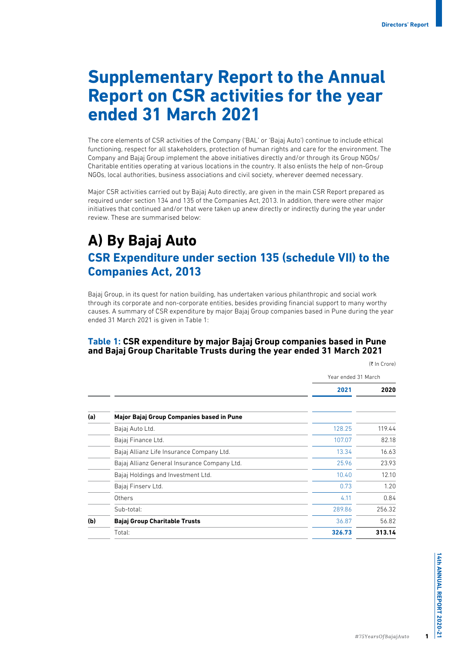# **Supplementary Report to the Annual Report on CSR activities for the year ended 31 March 2021**

The core elements of CSR activities of the Company ('BAL' or 'Bajaj Auto') continue to include ethical functioning, respect for all stakeholders, protection of human rights and care for the environment. The Company and Bajaj Group implement the above initiatives directly and/or through its Group NGOs/ Charitable entities operating at various locations in the country. It also enlists the help of non-Group NGOs, local authorities, business associations and civil society, wherever deemed necessary.

Major CSR activities carried out by Bajaj Auto directly, are given in the main CSR Report prepared as required under section 134 and 135 of the Companies Act, 2013. In addition, there were other major initiatives that continued and/or that were taken up anew directly or indirectly during the year under review. These are summarised below:

# **A) By Bajaj Auto CSR Expenditure under section 135 (schedule VII) to the Companies Act, 2013**

Bajaj Group, in its quest for nation building, has undertaken various philanthropic and social work through its corporate and non-corporate entities, besides providing financial support to many worthy causes. A summary of CSR expenditure by major Bajaj Group companies based in Pune during the year ended 31 March 2021 is given in Table 1:

#### **Table 1: CSR expenditure by major Bajaj Group companies based in Pune and Bajaj Group Charitable Trusts during the year ended 31 March 2021**

(₹ In Crore)

|     |                                              | Year ended 31 March |        |
|-----|----------------------------------------------|---------------------|--------|
|     |                                              | 2021                | 2020   |
| (a) | Major Bajaj Group Companies based in Pune    |                     |        |
|     | Bajaj Auto Ltd.                              | 128.25              | 119.44 |
|     | Bajaj Finance Ltd.                           | 107.07              | 82.18  |
|     | Bajaj Allianz Life Insurance Company Ltd.    | 13.34               | 16.63  |
|     | Bajaj Allianz General Insurance Company Ltd. | 25.96               | 23.93  |
|     | Bajaj Holdings and Investment Ltd.           | 10.40               | 12.10  |
|     | Bajaj Finserv Ltd.                           | 0.73                | 1.20   |
|     | Others                                       | 4.11                | 0.84   |
|     | Sub-total:                                   | 289.86              | 256.32 |
| (b) | <b>Bajaj Group Charitable Trusts</b>         | 36.87               | 56.82  |
|     | Total:                                       | 326.73              | 313.14 |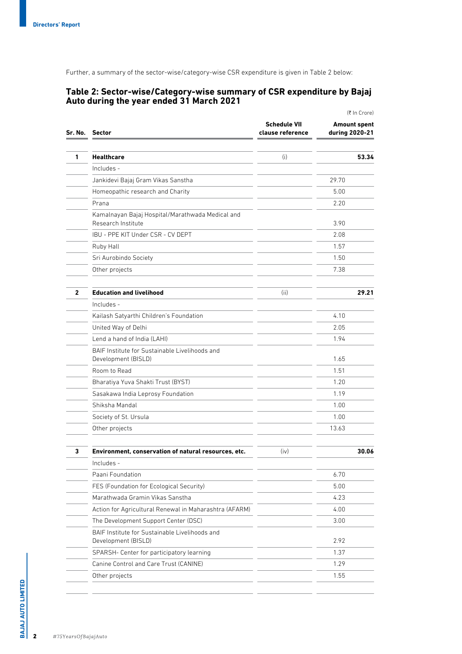Further, a summary of the sector-wise/category-wise CSR expenditure is given in Table 2 below:

#### **Table 2: Sector-wise/Category-wise summary of CSR expenditure by Bajaj Auto during the year ended 31 March 2021**

|                                                                        |                                         | (₹ In Crore)                          |  |
|------------------------------------------------------------------------|-----------------------------------------|---------------------------------------|--|
| Sr. No. Sector                                                         | <b>Schedule VII</b><br>clause reference | <b>Amount spent</b><br>during 2020-21 |  |
|                                                                        |                                         |                                       |  |
| <b>Healthcare</b>                                                      | (i)                                     | 53.34                                 |  |
| Includes -                                                             |                                         |                                       |  |
| Jankidevi Bajaj Gram Vikas Sanstha                                     |                                         | 29.70                                 |  |
| Homeopathic research and Charity                                       |                                         | 5.00                                  |  |
| Prana                                                                  |                                         | 2.20                                  |  |
| Kamalnayan Bajaj Hospital/Marathwada Medical and<br>Research Institute |                                         | 3.90                                  |  |
| IBU - PPE KIT Under CSR - CV DEPT                                      |                                         | 2.08                                  |  |
| Ruby Hall                                                              |                                         | 1.57                                  |  |
| Sri Aurobindo Society                                                  |                                         | 1.50                                  |  |
| Other projects                                                         |                                         | 7.38                                  |  |
| <b>Education and livelihood</b>                                        | (ii)                                    | 29.21                                 |  |
| Includes -                                                             |                                         |                                       |  |
| Kailash Satyarthi Children's Foundation                                |                                         | 4.10                                  |  |
| United Way of Delhi                                                    |                                         | 2.05                                  |  |
| Lend a hand of India (LAHI)                                            |                                         | 1.94                                  |  |
| BAIF Institute for Sustainable Livelihoods and<br>Development (BISLD)  |                                         | 1.65                                  |  |
| Room to Read                                                           |                                         | 1.51                                  |  |
| Bharatiya Yuva Shakti Trust (BYST)                                     |                                         | 1.20                                  |  |
| Sasakawa India Leprosy Foundation                                      |                                         | 1.19                                  |  |
| Shiksha Mandal                                                         |                                         | 1.00                                  |  |
| Society of St. Ursula                                                  |                                         | 1.00                                  |  |
| Other projects                                                         |                                         | 13.63                                 |  |
| Environment, conservation of natural resources, etc.                   | (iv)                                    | 30.06                                 |  |
| Includes -                                                             |                                         |                                       |  |
| Paani Foundation                                                       |                                         | 6.70                                  |  |
| FES (Foundation for Ecological Security)                               |                                         | 5.00                                  |  |
| Marathwada Gramin Vikas Sanstha                                        |                                         | 4.23                                  |  |
| Action for Agricultural Renewal in Maharashtra (AFARM)                 |                                         | 4.00                                  |  |
| The Development Support Center (DSC)                                   |                                         | 3.00                                  |  |
| BAIF Institute for Sustainable Livelihoods and<br>Development (BISLD)  |                                         | 2.92                                  |  |
| SPARSH- Center for participatory learning                              |                                         | 1.37                                  |  |
| Canine Control and Care Trust (CANINE)                                 |                                         | 1.29                                  |  |
| Other projects                                                         |                                         | 1.55                                  |  |

BAJAJ AUTO LIMITED **BAJAJ AUTO LIMITED**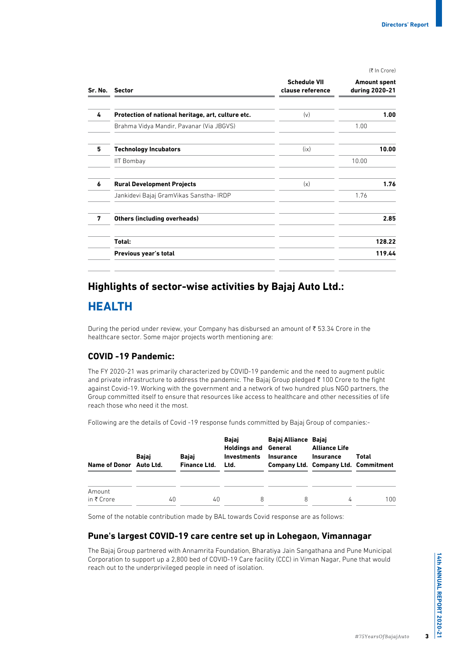$(7 \ln C \text{core})$ 

|   | Sr. No. Sector                                     | <b>Schedule VII</b><br>clause reference | <b>Amount spent</b><br>during 2020-21 |
|---|----------------------------------------------------|-----------------------------------------|---------------------------------------|
| 4 | Protection of national heritage, art, culture etc. | (v)                                     | 1.00                                  |
|   | Brahma Vidya Mandir, Pavanar (Via JBGVS)           |                                         | 1.00                                  |
| 5 | <b>Technology Incubators</b>                       | (ix)                                    | 10.00                                 |
|   | <b>IIT Bombay</b>                                  |                                         | 10.00                                 |
| 6 | <b>Rural Development Projects</b>                  | (x)                                     | 1.76                                  |
|   | Jankidevi Bajaj GramVikas Sanstha- IRDP            |                                         | 1.76                                  |
| 7 | <b>Others (including overheads)</b>                |                                         | 2.85                                  |
|   | Total:                                             |                                         | 128.22                                |
|   | Previous year's total                              |                                         | 119.44                                |

#### **Highlights of sector-wise activities by Bajaj Auto Ltd.:**

### **HEALTH**

During the period under review, your Company has disbursed an amount of  $\bar{\tau}$  53.34 Crore in the healthcare sector. Some major projects worth mentioning are:

#### **COVID -19 Pandemic:**

The FY 2020-21 was primarily characterized by COVID-19 pandemic and the need to augment public and private infrastructure to address the pandemic. The Bajaj Group pledged ₹100 Crore to the fight against Covid-19. Working with the government and a network of two hundred plus NGO partners, the Group committed itself to ensure that resources like access to healthcare and other necessities of life reach those who need it the most.

Following are the details of Covid -19 response funds committed by Bajaj Group of companies:-

| Name of Donor Auto Ltd. | Bajaj | Bajaj<br>Finance Ltd. | Bajaj<br><b>Holdings and General</b><br><b>Investments</b><br>Ltd. | Bajaj Alliance Bajaj<br><b>Insurance</b> | <b>Alliance Life</b><br>Insurance<br><b>Company Ltd. Company Ltd. Commitment</b> | Total |
|-------------------------|-------|-----------------------|--------------------------------------------------------------------|------------------------------------------|----------------------------------------------------------------------------------|-------|
| Amount<br>in ₹ Crore    | 40    | 40                    | 8                                                                  | 8                                        | 4                                                                                | 100   |

Some of the notable contribution made by BAL towards Covid response are as follows:

#### **Pune's largest COVID-19 care centre set up in Lohegaon, Vimannagar**

The Bajaj Group partnered with Annamrita Foundation, Bharatiya Jain Sangathana and Pune Municipal Corporation to support up a 2,800 bed of COVID-19 Care facility (CCC) in Viman Nagar, Pune that would reach out to the underprivileged people in need of isolation.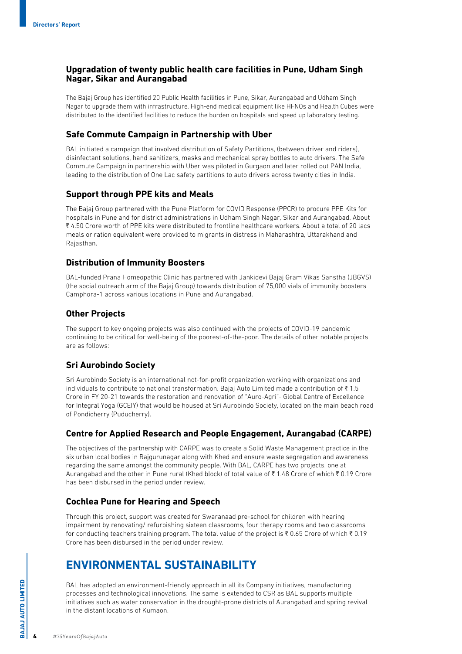#### **Upgradation of twenty public health care facilities in Pune, Udham Singh Nagar, Sikar and Aurangabad**

The Bajaj Group has identified 20 Public Health facilities in Pune, Sikar, Aurangabad and Udham Singh Nagar to upgrade them with infrastructure. High-end medical equipment like HFNOs and Health Cubes were distributed to the identified facilities to reduce the burden on hospitals and speed up laboratory testing.

#### **Safe Commute Campaign in Partnership with Uber**

BAL initiated a campaign that involved distribution of Safety Partitions, (between driver and riders), disinfectant solutions, hand sanitizers, masks and mechanical spray bottles to auto drivers. The Safe Commute Campaign in partnership with Uber was piloted in Gurgaon and later rolled out PAN India, leading to the distribution of One Lac safety partitions to auto drivers across twenty cities in India.

#### **Support through PPE kits and Meals**

The Bajaj Group partnered with the Pune Platform for COVID Response (PPCR) to procure PPE Kits for hospitals in Pune and for district administrations in Udham Singh Nagar, Sikar and Aurangabad. About ₹4.50 Crore worth of PPE kits were distributed to frontline healthcare workers. About a total of 20 lacs meals or ration equivalent were provided to migrants in distress in Maharashtra, Uttarakhand and Rajasthan.

#### **Distribution of Immunity Boosters**

BAL-funded Prana Homeopathic Clinic has partnered with Jankidevi Bajaj Gram Vikas Sanstha (JBGVS) (the social outreach arm of the Bajaj Group) towards distribution of 75,000 vials of immunity boosters Camphora-1 across various locations in Pune and Aurangabad.

#### **Other Projects**

The support to key ongoing projects was also continued with the projects of COVID-19 pandemic continuing to be critical for well-being of the poorest-of-the-poor. The details of other notable projects are as follows:

#### **Sri Aurobindo Society**

Sri Aurobindo Society is an international not-for-profit organization working with organizations and individuals to contribute to national transformation. Bajaj Auto Limited made a contribution of  $\bar{\tau}$  1.5 Crore in FY 20-21 towards the restoration and renovation of "Auro-Agri"- Global Centre of Excellence for Integral Yoga (GCEIY) that would be housed at Sri Aurobindo Society, located on the main beach road of Pondicherry (Puducherry).

#### **Centre for Applied Research and People Engagement, Aurangabad (CARPE)**

The objectives of the partnership with CARPE was to create a Solid Waste Management practice in the six urban local bodies in Rajgurunagar along with Khed and ensure waste segregation and awareness regarding the same amongst the community people. With BAL, CARPE has two projects, one at Aurangabad and the other in Pune rural (Khed block) of total value of ₹1.48 Crore of which ₹0.19 Crore has been disbursed in the period under review.

#### **Cochlea Pune for Hearing and Speech**

Through this project, support was created for Swaranaad pre-school for children with hearing impairment by renovating/ refurbishing sixteen classrooms, four therapy rooms and two classrooms for conducting teachers training program. The total value of the project is  $\bar{\tau}$  0.65 Crore of which  $\bar{\tau}$  0.19 Crore has been disbursed in the period under review.

## **ENVIRONMENTAL SUSTAINABILITY**

BAL has adopted an environment-friendly approach in all its Company initiatives, manufacturing processes and technological innovations. The same is extended to CSR as BAL supports multiple initiatives such as water conservation in the drought-prone districts of Aurangabad and spring revival in the distant locations of Kumaon.

4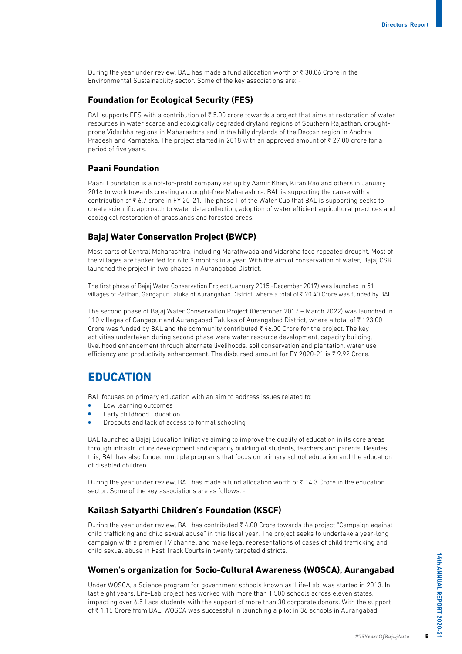During the year under review, BAL has made a fund allocation worth of  $\bar{\tau}$  30.06 Crore in the Environmental Sustainability sector. Some of the key associations are: -

#### **Foundation for Ecological Security (FES)**

BAL supports FES with a contribution of  $\overline{\xi}$  5.00 crore towards a project that aims at restoration of water resources in water scarce and ecologically degraded dryland regions of Southern Rajasthan, droughtprone Vidarbha regions in Maharashtra and in the hilly drylands of the Deccan region in Andhra Pradesh and Karnataka. The project started in 2018 with an approved amount of  $\bar{\tau}$  27.00 crore for a period of five years.

#### **Paani Foundation**

Paani Foundation is a not-for-profit company set up by Aamir Khan, Kiran Rao and others in January 2016 to work towards creating a drought-free Maharashtra. BAL is supporting the cause with a contribution of  $\bar{\tau}$  6.7 crore in FY 20-21. The phase II of the Water Cup that BAL is supporting seeks to create scientific approach to water data collection, adoption of water efficient agricultural practices and ecological restoration of grasslands and forested areas.

#### **Bajaj Water Conservation Project (BWCP)**

Most parts of Central Maharashtra, including Marathwada and Vidarbha face repeated drought. Most of the villages are tanker fed for 6 to 9 months in a year. With the aim of conservation of water, Bajaj CSR launched the project in two phases in Aurangabad District.

The first phase of Bajaj Water Conservation Project (January 2015 -December 2017) was launched in 51 villages of Paithan, Gangapur Taluka of Aurangabad District, where a total of ₹ 20.40 Crore was funded by BAL.

The second phase of Bajaj Water Conservation Project (December 2017 – March 2022) was launched in 110 villages of Gangapur and Aurangabad Talukas of Aurangabad District, where a total of  $\bar{\tau}$  123.00 Crore was funded by BAL and the community contributed  $\bar{\tau}$  46.00 Crore for the project. The key activities undertaken during second phase were water resource development, capacity building, livelihood enhancement through alternate livelihoods, soil conservation and plantation, water use efficiency and productivity enhancement. The disbursed amount for FY 2020-21 is  $\bar{\xi}$  9.92 Crore.

## **EDUCATION**

BAL focuses on primary education with an aim to address issues related to:

- **•** Low learning outcomes
- Early childhood Education
- Dropouts and lack of access to formal schooling

BAL launched a Bajaj Education Initiative aiming to improve the quality of education in its core areas through infrastructure development and capacity building of students, teachers and parents. Besides this, BAL has also funded multiple programs that focus on primary school education and the education of disabled children.

During the year under review. BAL has made a fund allocation worth of  $\bar{\tau}$  14.3 Crore in the education sector. Some of the key associations are as follows: -

#### **Kailash Satyarthi Children's Foundation (KSCF)**

During the year under review, BAL has contributed  $\bar{\tau}$  4.00 Crore towards the project "Campaign against child trafficking and child sexual abuse" in this fiscal year. The project seeks to undertake a year-long campaign with a premier TV channel and make legal representations of cases of child trafficking and child sexual abuse in Fast Track Courts in twenty targeted districts.

#### **Women's organization for Socio-Cultural Awareness (WOSCA), Aurangabad**

Under WOSCA, a Science program for government schools known as 'Life-Lab' was started in 2013. In last eight years, Life-Lab project has worked with more than 1,500 schools across eleven states, impacting over 6.5 Lacs students with the support of more than 30 corporate donors. With the support of ₹1.15 Crore from BAL, WOSCA was successful in launching a pilot in 36 schools in Aurangabad,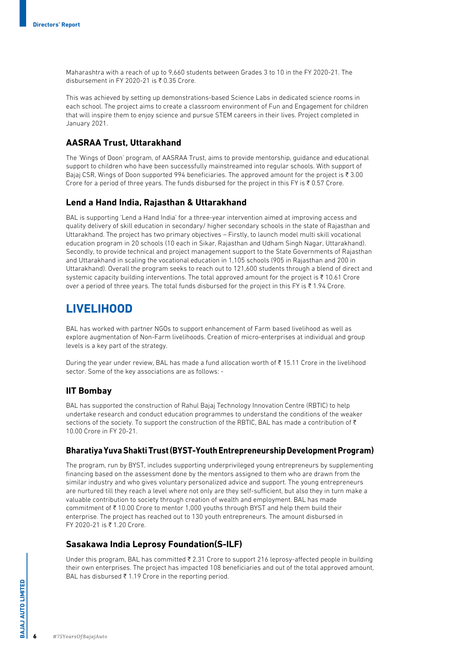Maharashtra with a reach of up to 9,660 students between Grades 3 to 10 in the FY 2020-21. The disbursement in FY 2020-21 is  $\bar{\tau}$  0.35 Crore.

This was achieved by setting up demonstrations-based Science Labs in dedicated science rooms in each school. The project aims to create a classroom environment of Fun and Engagement for children that will inspire them to enjoy science and pursue STEM careers in their lives. Project completed in January 2021.

#### **AASRAA Trust, Uttarakhand**

The 'Wings of Doon' program, of AASRAA Trust, aims to provide mentorship, guidance and educational support to children who have been successfully mainstreamed into regular schools. With support of Bajaj CSR, Wings of Doon supported 994 beneficiaries. The approved amount for the project is  $\bar{\tau}$  3.00 Crore for a period of three years. The funds disbursed for the project in this FY is  $\bar{\tau}$  0.57 Crore.

#### **Lend a Hand India, Rajasthan & Uttarakhand**

BAL is supporting 'Lend a Hand India' for a three-year intervention aimed at improving access and quality delivery of skill education in secondary/ higher secondary schools in the state of Rajasthan and Uttarakhand. The project has two primary objectives – Firstly, to launch model multi skill vocational education program in 20 schools (10 each in Sikar, Rajasthan and Udham Singh Nagar, Uttarakhand). Secondly, to provide technical and project management support to the State Governments of Rajasthan and Uttarakhand in scaling the vocational education in 1,105 schools (905 in Rajasthan and 200 in Uttarakhand). Overall the program seeks to reach out to 121,600 students through a blend of direct and systemic capacity building interventions. The total approved amount for the project is  $\bar{\tau}$  10.61 Crore over a period of three years. The total funds disbursed for the project in this FY is  $\bar{\tau}$  1.94 Crore.

### **LIVELIHOOD**

BAL has worked with partner NGOs to support enhancement of Farm based livelihood as well as explore augmentation of Non-Farm livelihoods. Creation of micro-enterprises at individual and group levels is a key part of the strategy.

During the year under review, BAL has made a fund allocation worth of  $\bar{\tau}$  15.11 Crore in the livelihood sector. Some of the key associations are as follows: -

#### **IIT Bombay**

BAL has supported the construction of Rahul Bajaj Technology Innovation Centre (RBTIC) to help undertake research and conduct education programmes to understand the conditions of the weaker sections of the society. To support the construction of the RBTIC, BAL has made a contribution of  $\bar{\tau}$ 10.00 Crore in FY 20-21.

#### **Bharatiya Yuva Shakti Trust (BYST-Youth Entrepreneurship Development Program)**

The program, run by BYST, includes supporting underprivileged young entrepreneurs by supplementing financing based on the assessment done by the mentors assigned to them who are drawn from the similar industry and who gives voluntary personalized advice and support. The young entrepreneurs are nurtured till they reach a level where not only are they self-sufficient, but also they in turn make a valuable contribution to society through creation of wealth and employment. BAL has made commitment of  $\bar{\tau}$  10.00 Crore to mentor 1,000 youths through BYST and help them build their enterprise. The project has reached out to 130 youth entrepreneurs. The amount disbursed in  $FY$  2020-21 is  $\overline{z}$  1.20 Crore.

#### **Sasakawa India Leprosy Foundation(S-ILF)**

Under this program, BAL has committed ₹ 2.31 Crore to support 216 leprosy-affected people in building their own enterprises. The project has impacted 108 beneficiaries and out of the total approved amount, BAL has disbursed  $\overline{\xi}$  1.19 Crore in the reporting period.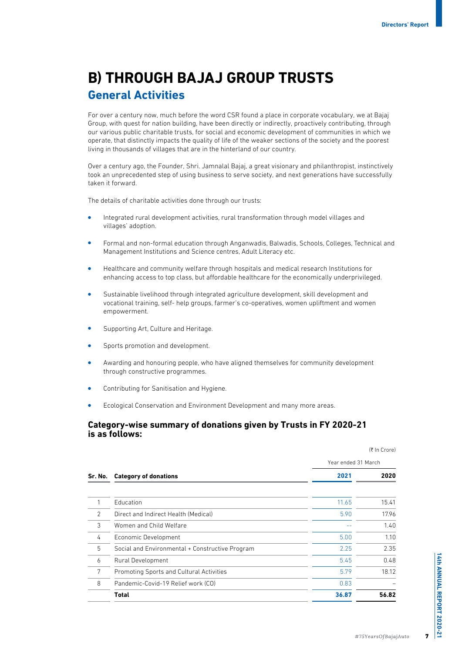# **B) THROUGH BAJAJ GROUP TRUSTS General Activities**

For over a century now, much before the word CSR found a place in corporate vocabulary, we at Bajaj Group, with quest for nation building, have been directly or indirectly, proactively contributing, through our various public charitable trusts, for social and economic development of communities in which we operate, that distinctly impacts the quality of life of the weaker sections of the society and the poorest living in thousands of villages that are in the hinterland of our country.

Over a century ago, the Founder, Shri. Jamnalal Bajaj, a great visionary and philanthropist, instinctively took an unprecedented step of using business to serve society, and next generations have successfully taken it forward.

The details of charitable activities done through our trusts:

- **Integrated rural development activities, rural transformation through model villages and** villages' adoption.
- <sup>l</sup> Formal and non-formal education through Anganwadis, Balwadis, Schools, Colleges, Technical and Management Institutions and Science centres, Adult Literacy etc.
- <sup>l</sup> Healthcare and community welfare through hospitals and medical research Institutions for enhancing access to top class, but affordable healthcare for the economically underprivileged.
- <sup>l</sup> Sustainable livelihood through integrated agriculture development, skill development and vocational training, self- help groups, farmer's co-operatives, women upliftment and women empowerment.
- Supporting Art, Culture and Heritage.
- **.** Sports promotion and development.
- Awarding and honouring people, who have aligned themselves for community development through constructive programmes.
- Contributing for Sanitisation and Hygiene.
- Ecological Conservation and Environment Development and many more areas.

#### **Category-wise summary of donations given by Trusts in FY 2020-21 is as follows:**

|                |                                                 | (₹ In Crore)<br>Year ended 31 March |       |  |
|----------------|-------------------------------------------------|-------------------------------------|-------|--|
|                |                                                 |                                     |       |  |
|                | Sr. No. Category of donations                   | 2021                                | 2020  |  |
|                | Education                                       | 11.65                               | 15.41 |  |
| $\overline{2}$ | Direct and Indirect Health (Medical)            | 5.90                                | 17.96 |  |
| 3              | Women and Child Welfare                         |                                     | 1.40  |  |
| 4              | Economic Development                            | 5.00                                | 1.10  |  |
| 5              | Social and Environmental + Constructive Program | 2.25                                | 2.35  |  |
| 6              | Rural Development                               | 5.45                                | 0.48  |  |
| 7              | Promoting Sports and Cultural Activities        | 5.79                                | 18.12 |  |
| 8              | Pandemic-Covid-19 Relief work (CO)              | 0.83                                |       |  |
|                | <b>Total</b>                                    | 36.87                               | 56.82 |  |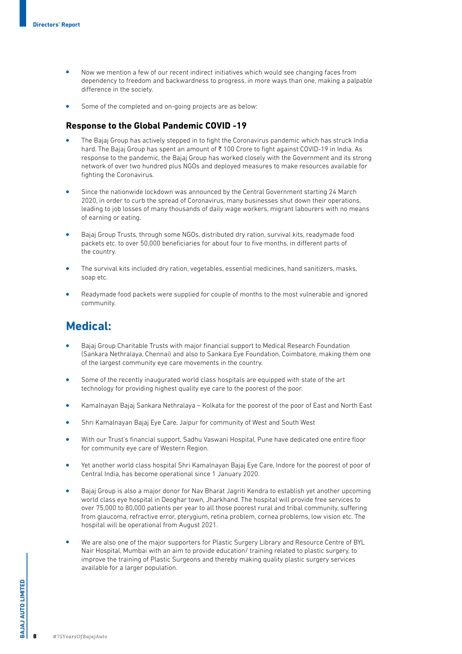- <sup>l</sup> Now we mention a few of our recent indirect initiatives which would see changing faces from dependency to freedom and backwardness to progress, in more ways than one, making a palpable difference in the society.
- Some of the completed and on-going projects are as below:

#### **Response to the Global Pandemic COVID -19**

- <sup>l</sup> The Bajaj Group has actively stepped in to fight the Coronavirus pandemic which has struck India hard. The Bajaj Group has spent an amount of ₹100 Crore to fight against COVID-19 in India. As response to the pandemic, the Bajaj Group has worked closely with the Government and its strong network of over two hundred plus NGOs and deployed measures to make resources available for fighting the Coronavirus.
- Since the nationwide lockdown was announced by the Central Government starting 24 March 2020, in order to curb the spread of Coronavirus, many businesses shut down their operations, leading to job losses of many thousands of daily wage workers, migrant labourers with no means of earning or eating.
- <sup>l</sup> Bajaj Group Trusts, through some NGOs, distributed dry ration, survival kits, readymade food packets etc. to over 50,000 beneficiaries for about four to five months, in different parts of the country.
- <sup>l</sup> The survival kits included dry ration, vegetables, essential medicines, hand sanitizers, masks, soap etc.
- Readymade food packets were supplied for couple of months to the most vulnerable and ignored community.

# **Medical:**

- <sup>l</sup> Bajaj Group Charitable Trusts with major financial support to Medical Research Foundation (Sankara Nethralaya, Chennai) and also to Sankara Eye Foundation, Coimbatore, making them one of the largest community eye care movements in the country.
- Some of the recently inaugurated world class hospitals are equipped with state of the art technology for providing highest quality eye care to the poorest of the poor.
- <sup>l</sup> Kamalnayan Bajaj Sankara Nethralaya Kolkata for the poorest of the poor of East and North East
- <sup>l</sup> Shri Kamalnayan Bajaj Eye Care, Jaipur for community of West and South West
- <sup>l</sup> With our Trust's financial support, Sadhu Vaswani Hospital, Pune have dedicated one entire floor for community eye care of Western Region.
- <sup>l</sup> Yet another world class hospital Shri Kamalnayan Bajaj Eye Care, Indore for the poorest of poor of Central India, has become operational since 1 January 2020.
- <sup>l</sup> Bajaj Group is also a major donor for Nav Bharat Jagriti Kendra to establish yet another upcoming world class eye hospital in Deoghar town, Jharkhand. The hospital will provide free services to over 75,000 to 80,000 patients per year to all those poorest rural and tribal community, suffering from glaucoma, refractive error, pterygium, retina problem, cornea problems, low vision etc. The hospital will be operational from August 2021.
- <sup>l</sup> We are also one of the major supporters for Plastic Surgery Library and Resource Centre of BYL Nair Hospital, Mumbai with an aim to provide education/ training related to plastic surgery, to improve the training of Plastic Surgeons and thereby making quality plastic surgery services available for a larger population.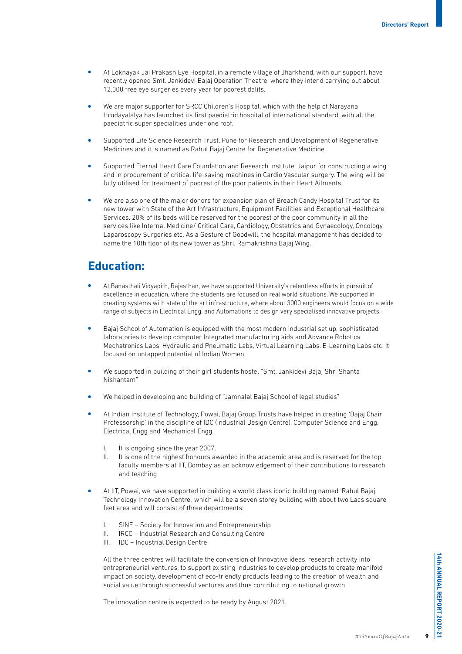- <sup>l</sup> At Loknayak Jai Prakash Eye Hospital, in a remote village of Jharkhand, with our support, have recently opened Smt. Jankidevi Bajaj Operation Theatre, where they intend carrying out about 12,000 free eye surgeries every year for poorest dalits.
- We are major supporter for SRCC Children's Hospital, which with the help of Narayana Hrudayalalya has launched its first paediatric hospital of international standard, with all the paediatric super specialities under one roof.
- <sup>l</sup> Supported Life Science Research Trust, Pune for Research and Development of Regenerative Medicines and it is named as Rahul Bajaj Centre for Regenerative Medicine.
- <sup>l</sup> Supported Eternal Heart Care Foundation and Research Institute, Jaipur for constructing a wing and in procurement of critical life-saving machines in Cardio Vascular surgery. The wing will be fully utilised for treatment of poorest of the poor patients in their Heart Ailments.
- We are also one of the major donors for expansion plan of Breach Candy Hospital Trust for its new tower with State of the Art Infrastructure, Equipment Facilities and Exceptional Healthcare Services. 20% of its beds will be reserved for the poorest of the poor community in all the services like Internal Medicine/ Critical Care, Cardiology, Obstetrics and Gynaecology, Oncology, Laparoscopy Surgeries etc. As a Gesture of Goodwill, the hospital management has decided to name the 10th floor of its new tower as Shri. Ramakrishna Bajaj Wing.

### **Education:**

- <sup>l</sup> At Banasthali Vidyapith, Rajasthan, we have supported University's relentless efforts in pursuit of excellence in education, where the students are focused on real world situations. We supported in creating systems with state of the art infrastructure, where about 3000 engineers would focus on a wide range of subjects in Electrical Engg. and Automations to design very specialised innovative projects.
- <sup>l</sup> Bajaj School of Automation is equipped with the most modern industrial set up, sophisticated laboratories to develop computer Integrated manufacturing aids and Advance Robotics Mechatronics Labs, Hydraulic and Pneumatic Labs, Virtual Learning Labs, E-Learning Labs etc. It focused on untapped potential of Indian Women.
- <sup>l</sup> We supported in building of their girl students hostel "Smt. Jankidevi Bajaj Shri Shanta Nishantam"
- We helped in developing and building of "Jamnalal Bajaj School of legal studies"
- <sup>l</sup> At Indian Institute of Technology, Powai, Bajaj Group Trusts have helped in creating 'Bajaj Chair Professorship' in the discipline of IDC (Industrial Design Centre), Computer Science and Engg, Electrical Engg and Mechanical Engg.
	- I. It is ongoing since the year 2007.
	- II. It is one of the highest honours awarded in the academic area and is reserved for the top faculty members at IIT, Bombay as an acknowledgement of their contributions to research and teaching
- <sup>l</sup> At IIT, Powai, we have supported in building a world class iconic building named 'Rahul Bajaj Technology Innovation Centre', which will be a seven storey building with about two Lacs square feet area and will consist of three departments:
	- I. SINE Society for Innovation and Entrepreneurship
	- II. IRCC Industrial Research and Consulting Centre
	- III. IDC Industrial Design Centre

All the three centres will facilitate the conversion of Innovative ideas, research activity into entrepreneurial ventures, to support existing industries to develop products to create manifold impact on society, development of eco-friendly products leading to the creation of wealth and social value through successful ventures and thus contributing to national growth.

The innovation centre is expected to be ready by August 2021.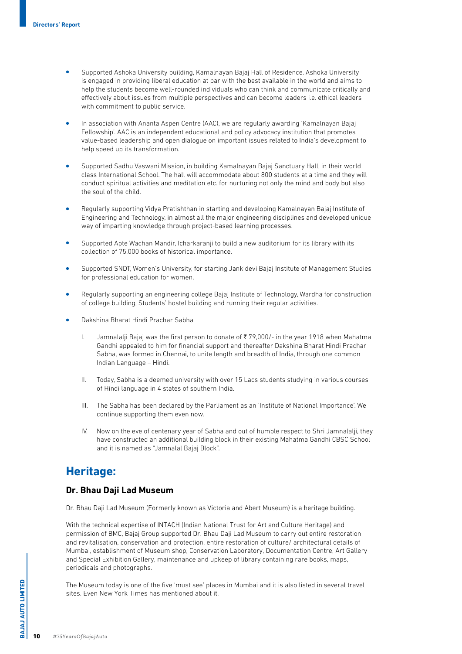- <sup>l</sup> Supported Ashoka University building, Kamalnayan Bajaj Hall of Residence. Ashoka University is engaged in providing liberal education at par with the best available in the world and aims to help the students become well-rounded individuals who can think and communicate critically and effectively about issues from multiple perspectives and can become leaders i.e. ethical leaders with commitment to public service.
- In association with Ananta Aspen Centre (AAC), we are regularly awarding 'Kamalnayan Bajaj Fellowship'. AAC is an independent educational and policy advocacy institution that promotes value-based leadership and open dialogue on important issues related to India's development to help speed up its transformation.
- <sup>l</sup> Supported Sadhu Vaswani Mission, in building Kamalnayan Bajaj Sanctuary Hall, in their world class International School. The hall will accommodate about 800 students at a time and they will conduct spiritual activities and meditation etc. for nurturing not only the mind and body but also the soul of the child.
- <sup>l</sup> Regularly supporting Vidya Pratishthan in starting and developing Kamalnayan Bajaj Institute of Engineering and Technology, in almost all the major engineering disciplines and developed unique way of imparting knowledge through project-based learning processes.
- <sup>l</sup> Supported Apte Wachan Mandir, Icharkaranji to build a new auditorium for its library with its collection of 75,000 books of historical importance.
- <sup>l</sup> Supported SNDT, Women's University, for starting Jankidevi Bajaj Institute of Management Studies for professional education for women.
- <sup>l</sup> Regularly supporting an engineering college Bajaj Institute of Technology, Wardha for construction of college building, Students' hostel building and running their regular activities.
- <sup>l</sup> Dakshina Bharat Hindi Prachar Sabha
	- I. Jamnalalji Bajaj was the first person to donate of  $\overline{\xi}$  79,000/- in the year 1918 when Mahatma Gandhi appealed to him for financial support and thereafter Dakshina Bharat Hindi Prachar Sabha, was formed in Chennai, to unite length and breadth of India, through one common Indian Language – Hindi.
	- II. Today, Sabha is a deemed university with over 15 Lacs students studying in various courses of Hindi language in 4 states of southern India.
	- III. The Sabha has been declared by the Parliament as an 'Institute of National Importance'. We continue supporting them even now.
	- IV. Now on the eve of centenary year of Sabha and out of humble respect to Shri Jamnalalji, they have constructed an additional building block in their existing Mahatma Gandhi CBSC School and it is named as "Jamnalal Bajaj Block".

### **Heritage:**

#### **Dr. Bhau Daji Lad Museum**

Dr. Bhau Daji Lad Museum (Formerly known as Victoria and Abert Museum) is a heritage building.

With the technical expertise of INTACH (Indian National Trust for Art and Culture Heritage) and permission of BMC, Bajaj Group supported Dr. Bhau Daji Lad Museum to carry out entire restoration and revitalisation, conservation and protection, entire restoration of culture/ architectural details of Mumbai, establishment of Museum shop, Conservation Laboratory, Documentation Centre, Art Gallery and Special Exhibition Gallery, maintenance and upkeep of library containing rare books, maps, periodicals and photographs.

The Museum today is one of the five 'must see' places in Mumbai and it is also listed in several travel sites. Even New York Times has mentioned about it.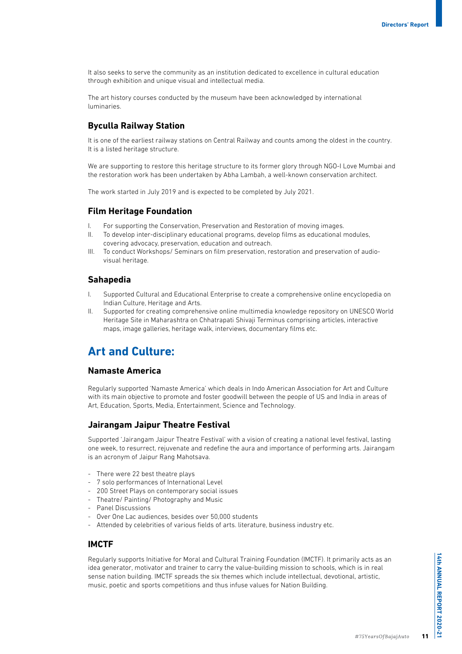It also seeks to serve the community as an institution dedicated to excellence in cultural education through exhibition and unique visual and intellectual media.

The art history courses conducted by the museum have been acknowledged by international luminaries.

#### **Byculla Railway Station**

It is one of the earliest railway stations on Central Railway and counts among the oldest in the country. It is a listed heritage structure.

We are supporting to restore this heritage structure to its former glory through NGO-I Love Mumbai and the restoration work has been undertaken by Abha Lambah, a well-known conservation architect.

The work started in July 2019 and is expected to be completed by July 2021.

#### **Film Heritage Foundation**

- I. For supporting the Conservation, Preservation and Restoration of moving images.
- II. To develop inter-disciplinary educational programs, develop films as educational modules, covering advocacy, preservation, education and outreach.
- III. To conduct Workshops/ Seminars on film preservation, restoration and preservation of audiovisual heritage.

#### **Sahapedia**

- I. Supported Cultural and Educational Enterprise to create a comprehensive online encyclopedia on Indian Culture, Heritage and Arts.
- II. Supported for creating comprehensive online multimedia knowledge repository on UNESCO World Heritage Site in Maharashtra on Chhatrapati Shivaji Terminus comprising articles, interactive maps, image galleries, heritage walk, interviews, documentary films etc.

## **Art and Culture:**

#### **Namaste America**

Regularly supported 'Namaste America' which deals in Indo American Association for Art and Culture with its main objective to promote and foster goodwill between the people of US and India in areas of Art, Education, Sports, Media, Entertainment, Science and Technology.

#### **Jairangam Jaipur Theatre Festival**

Supported 'Jairangam Jaipur Theatre Festival' with a vision of creating a national level festival, lasting one week, to resurrect, rejuvenate and redefine the aura and importance of performing arts. Jairangam is an acronym of Jaipur Rang Mahotsava.

- There were 22 best theatre plays
- 7 solo performances of International Level
- 200 Street Plays on contemporary social issues
- Theatre/ Painting/ Photography and Music
- Panel Discussions
- Over One Lac audiences, besides over 50,000 students
- Attended by celebrities of various fields of arts. literature, business industry etc.

#### **IMCTF**

Regularly supports Initiative for Moral and Cultural Training Foundation (IMCTF). It primarily acts as an idea generator, motivator and trainer to carry the value-building mission to schools, which is in real sense nation building. IMCTF spreads the six themes which include intellectual, devotional, artistic, music, poetic and sports competitions and thus infuse values for Nation Building.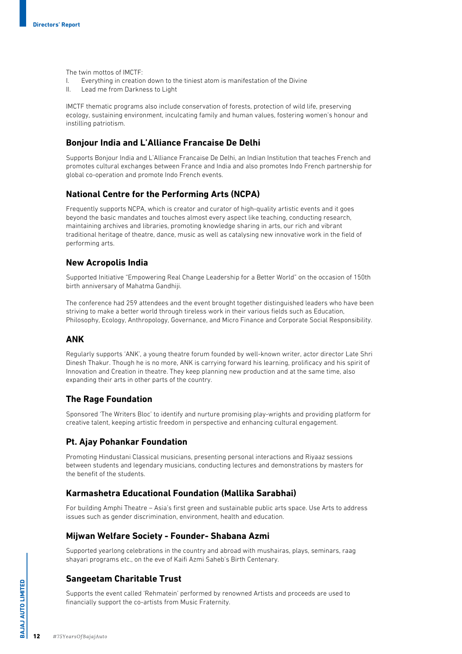The twin mottos of IMCTF:

- I. Everything in creation down to the tiniest atom is manifestation of the Divine
- II. Lead me from Darkness to Light

IMCTF thematic programs also include conservation of forests, protection of wild life, preserving ecology, sustaining environment, inculcating family and human values, fostering women's honour and instilling patriotism.

#### **Bonjour India and L'Alliance Francaise De Delhi**

Supports Bonjour India and L'Alliance Francaise De Delhi, an Indian Institution that teaches French and promotes cultural exchanges between France and India and also promotes Indo French partnership for global co-operation and promote Indo French events.

#### **National Centre for the Performing Arts (NCPA)**

Frequently supports NCPA, which is creator and curator of high-quality artistic events and it goes beyond the basic mandates and touches almost every aspect like teaching, conducting research, maintaining archives and libraries, promoting knowledge sharing in arts, our rich and vibrant traditional heritage of theatre, dance, music as well as catalysing new innovative work in the field of performing arts.

#### **New Acropolis India**

Supported Initiative "Empowering Real Change Leadership for a Better World" on the occasion of 150th birth anniversary of Mahatma Gandhiji.

The conference had 259 attendees and the event brought together distinguished leaders who have been striving to make a better world through tireless work in their various fields such as Education, Philosophy, Ecology, Anthropology, Governance, and Micro Finance and Corporate Social Responsibility.

#### **ANK**

Regularly supports 'ANK', a young theatre forum founded by well-known writer, actor director Late Shri Dinesh Thakur. Though he is no more, ANK is carrying forward his learning, prolificacy and his spirit of Innovation and Creation in theatre. They keep planning new production and at the same time, also expanding their arts in other parts of the country.

#### **The Rage Foundation**

Sponsored 'The Writers Bloc' to identify and nurture promising play-wrights and providing platform for creative talent, keeping artistic freedom in perspective and enhancing cultural engagement.

#### **Pt. Ajay Pohankar Foundation**

Promoting Hindustani Classical musicians, presenting personal interactions and Riyaaz sessions between students and legendary musicians, conducting lectures and demonstrations by masters for the benefit of the students.

#### **Karmashetra Educational Foundation (Mallika Sarabhai)**

For building Amphi Theatre – Asia's first green and sustainable public arts space. Use Arts to address issues such as gender discrimination, environment, health and education.

#### **Mijwan Welfare Society - Founder- Shabana Azmi**

Supported yearlong celebrations in the country and abroad with mushairas, plays, seminars, raag shayari programs etc., on the eve of Kaifi Azmi Saheb's Birth Centenary.

#### **Sangeetam Charitable Trust**

Supports the event called 'Rehmatein' performed by renowned Artists and proceeds are used to financially support the co-artists from Music Fraternity.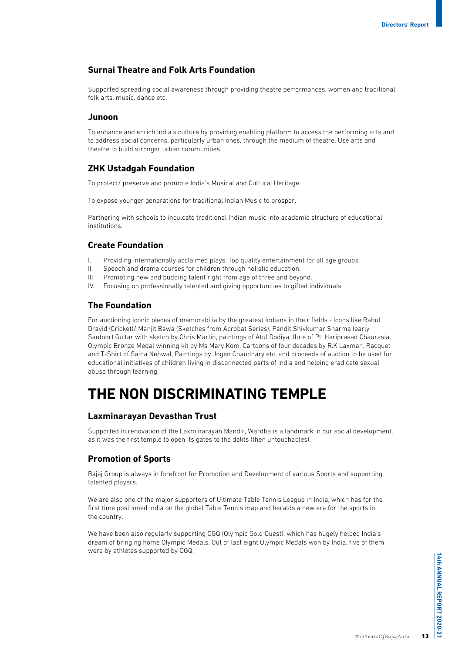#### **Surnai Theatre and Folk Arts Foundation**

Supported spreading social awareness through providing theatre performances, women and traditional folk arts, music, dance etc.

#### **Junoon**

To enhance and enrich India's culture by providing enabling platform to access the performing arts and to address social concerns, particularly urban ones, through the medium of theatre. Use arts and theatre to build stronger urban communities.

#### **ZHK Ustadgah Foundation**

To protect/ preserve and promote India's Musical and Cultural Heritage.

To expose younger generations for traditional Indian Music to prosper.

Partnering with schools to inculcate traditional Indian music into academic structure of educational institutions.

#### **Create Foundation**

- I. Providing internationally acclaimed plays. Top quality entertainment for all age groups.
- II. Speech and drama courses for children through holistic education.
- III. Promoting new and budding talent right from age of three and beyond.
- IV. Focusing on professionally talented and giving opportunities to gifted individuals.

#### **The Foundation**

For auctioning iconic pieces of memorabilia by the greatest Indians in their fields - Icons like Rahul Dravid (Cricket)/ Manjit Bawa (Sketches from Acrobat Series), Pandit Shivkumar Sharma (early Santoor) Guitar with sketch by Chris Martin, paintings of Atul Dodiya, flute of Pt. Hariprasad Chaurasia, Olympic Bronze Medal winning kit by Ms Mary Kom, Cartoons of four decades by R.K Laxman, Racquet and T-Shirt of Saina Nehwal, Paintings by Jogen Chaudhary etc. and proceeds of auction to be used for educational initiatives of children living in disconnected parts of India and helping eradicate sexual abuse through learning.

# **THE NON DISCRIMINATING TEMPLE**

#### **Laxminarayan Devasthan Trust**

Supported in renovation of the Laxminarayan Mandir, Wardha is a landmark in our social development, as it was the first temple to open its gates to the dalits (then untouchables).

#### **Promotion of Sports**

Bajaj Group is always in forefront for Promotion and Development of various Sports and supporting talented players.

We are also one of the major supporters of Ultimate Table Tennis League in India, which has for the first time positioned India on the global Table Tennis map and heralds a new era for the sports in the country.

We have been also regularly supporting OGQ (Olympic Gold Quest), which has hugely helped India's dream of bringing home Olympic Medals. Out of last eight Olympic Medals won by India, five of them were by athletes supported by OGQ.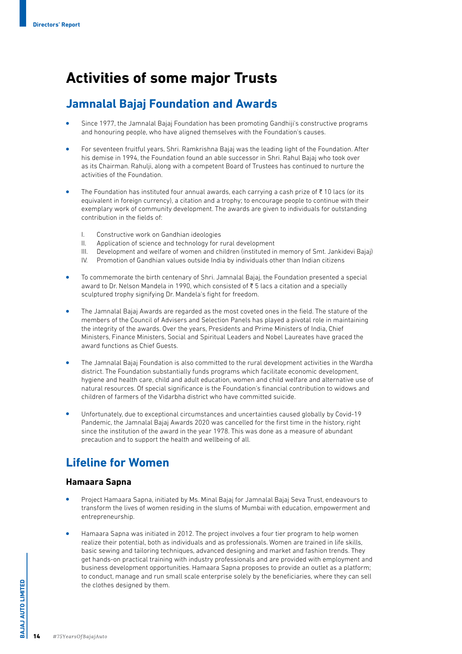# **Activities of some major Trusts**

## **Jamnalal Bajaj Foundation and Awards**

- <sup>l</sup> Since 1977, the Jamnalal Bajaj Foundation has been promoting Gandhiji's constructive programs and honouring people, who have aligned themselves with the Foundation's causes.
- For seventeen fruitful years, Shri. Ramkrishna Bajaj was the leading light of the Foundation. After his demise in 1994, the Foundation found an able successor in Shri. Rahul Bajaj who took over as its Chairman. Rahulji, along with a competent Board of Trustees has continued to nurture the activities of the Foundation.
- The Foundation has instituted four annual awards, each carrying a cash prize of  $\bar{\tau}$  10 lacs (or its equivalent in foreign currency), a citation and a trophy; to encourage people to continue with their exemplary work of community development. The awards are given to individuals for outstanding contribution in the fields of:
	- I. Constructive work on Gandhian ideologies
	- II. Application of science and technology for rural development
	- III. Development and welfare of women and children (instituted in memory of Smt. Jankidevi Bajaj)
	- IV. Promotion of Gandhian values outside India by individuals other than Indian citizens
- <sup>l</sup> To commemorate the birth centenary of Shri. Jamnalal Bajaj, the Foundation presented a special award to Dr. Nelson Mandela in 1990, which consisted of  $\overline{\xi}$  5 lacs a citation and a specially sculptured trophy signifying Dr. Mandela's fight for freedom.
- <sup>l</sup> The Jamnalal Bajaj Awards are regarded as the most coveted ones in the field. The stature of the members of the Council of Advisers and Selection Panels has played a pivotal role in maintaining the integrity of the awards. Over the years, Presidents and Prime Ministers of India, Chief Ministers, Finance Ministers, Social and Spiritual Leaders and Nobel Laureates have graced the award functions as Chief Guests.
- <sup>l</sup> The Jamnalal Bajaj Foundation is also committed to the rural development activities in the Wardha district. The Foundation substantially funds programs which facilitate economic development, hygiene and health care, child and adult education, women and child welfare and alternative use of natural resources. Of special significance is the Foundation's financial contribution to widows and children of farmers of the Vidarbha district who have committed suicide.
- <sup>l</sup> Unfortunately, due to exceptional circumstances and uncertainties caused globally by Covid-19 Pandemic, the Jamnalal Bajaj Awards 2020 was cancelled for the first time in the history, right since the institution of the award in the year 1978. This was done as a measure of abundant precaution and to support the health and wellbeing of all.

# **Lifeline for Women**

#### **Hamaara Sapna**

- <sup>l</sup> Project Hamaara Sapna, initiated by Ms. Minal Bajaj for Jamnalal Bajaj Seva Trust, endeavours to transform the lives of women residing in the slums of Mumbai with education, empowerment and entrepreneurship.
- <sup>l</sup> Hamaara Sapna was initiated in 2012. The project involves a four tier program to help women realize their potential, both as individuals and as professionals. Women are trained in life skills, basic sewing and tailoring techniques, advanced designing and market and fashion trends. They get hands-on practical training with industry professionals and are provided with employment and business development opportunities. Hamaara Sapna proposes to provide an outlet as a platform; to conduct, manage and run small scale enterprise solely by the beneficiaries, where they can sell the clothes designed by them.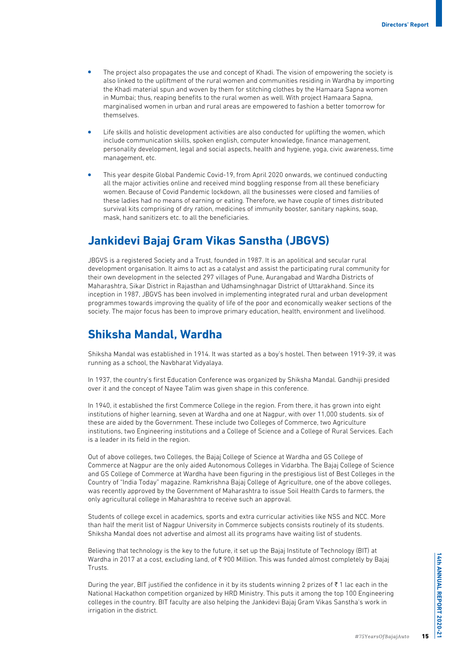- The project also propagates the use and concept of Khadi. The vision of empowering the society is also linked to the upliftment of the rural women and communities residing in Wardha by importing the Khadi material spun and woven by them for stitching clothes by the Hamaara Sapna women in Mumbai; thus, reaping benefits to the rural women as well. With project Hamaara Sapna, marginalised women in urban and rural areas are empowered to fashion a better tomorrow for themselves.
- Life skills and holistic development activities are also conducted for uplifting the women, which include communication skills, spoken english, computer knowledge, finance management, personality development, legal and social aspects, health and hygiene, yoga, civic awareness, time management, etc.
- <sup>l</sup> This year despite Global Pandemic Covid-19, from April 2020 onwards, we continued conducting all the major activities online and received mind boggling response from all these beneficiary women. Because of Covid Pandemic lockdown, all the businesses were closed and families of these ladies had no means of earning or eating. Therefore, we have couple of times distributed survival kits comprising of dry ration, medicines of immunity booster, sanitary napkins, soap, mask, hand sanitizers etc. to all the beneficiaries.

## **Jankidevi Bajaj Gram Vikas Sanstha (JBGVS)**

JBGVS is a registered Society and a Trust, founded in 1987. It is an apolitical and secular rural development organisation. It aims to act as a catalyst and assist the participating rural community for their own development in the selected 297 villages of Pune, Aurangabad and Wardha Districts of Maharashtra, Sikar District in Rajasthan and Udhamsinghnagar District of Uttarakhand. Since its inception in 1987, JBGVS has been involved in implementing integrated rural and urban development programmes towards improving the quality of life of the poor and economically weaker sections of the society. The major focus has been to improve primary education, health, environment and livelihood.

### **Shiksha Mandal, Wardha**

Shiksha Mandal was established in 1914. It was started as a boy's hostel. Then between 1919-39, it was running as a school, the Navbharat Vidyalaya.

In 1937, the country's first Education Conference was organized by Shiksha Mandal. Gandhiji presided over it and the concept of Nayee Talim was given shape in this conference.

In 1940, it established the first Commerce College in the region. From there, it has grown into eight institutions of higher learning, seven at Wardha and one at Nagpur, with over 11,000 students. six of these are aided by the Government. These include two Colleges of Commerce, two Agriculture institutions, two Engineering institutions and a College of Science and a College of Rural Services. Each is a leader in its field in the region.

Out of above colleges, two Colleges, the Bajaj College of Science at Wardha and GS College of Commerce at Nagpur are the only aided Autonomous Colleges in Vidarbha. The Bajaj College of Science and GS College of Commerce at Wardha have been figuring in the prestigious list of Best Colleges in the Country of "India Today" magazine. Ramkrishna Bajaj College of Agriculture, one of the above colleges, was recently approved by the Government of Maharashtra to issue Soil Health Cards to farmers, the only agricultural college in Maharashtra to receive such an approval.

Students of college excel in academics, sports and extra curricular activities like NSS and NCC. More than half the merit list of Nagpur University in Commerce subjects consists routinely of its students. Shiksha Mandal does not advertise and almost all its programs have waiting list of students.

Believing that technology is the key to the future, it set up the Bajaj Institute of Technology (BIT) at Wardha in 2017 at a cost, excluding land, of  $\bar{\tau}$  900 Million. This was funded almost completely by Bajaj Trusts.

During the year, BIT justified the confidence in it by its students winning 2 prizes of  $\bar{\tau}$  1 lac each in the National Hackathon competition organized by HRD Ministry. This puts it among the top 100 Engineering colleges in the country. BIT faculty are also helping the Jankidevi Bajaj Gram Vikas Sanstha's work in irrigation in the district.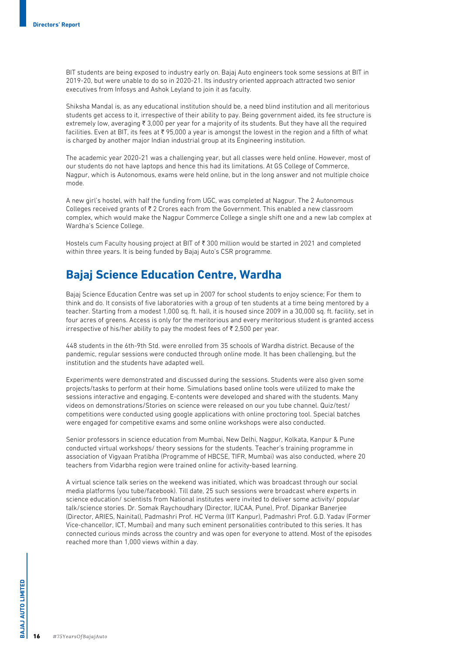BIT students are being exposed to industry early on. Bajaj Auto engineers took some sessions at BIT in 2019-20, but were unable to do so in 2020-21. Its industry oriented approach attracted two senior executives from Infosys and Ashok Leyland to join it as faculty.

Shiksha Mandal is, as any educational institution should be, a need blind institution and all meritorious students get access to it, irrespective of their ability to pay. Being government aided, its fee structure is extremely low, averaging  $\overline{\tau}$  3,000 per year for a majority of its students. But they have all the required facilities. Even at BIT, its fees at ₹95,000 a year is amongst the lowest in the region and a fifth of what is charged by another major Indian industrial group at its Engineering institution.

The academic year 2020-21 was a challenging year, but all classes were held online. However, most of our students do not have laptops and hence this had its limitations. At GS College of Commerce, Nagpur, which is Autonomous, exams were held online, but in the long answer and not multiple choice mode.

A new girl's hostel, with half the funding from UGC, was completed at Nagpur. The 2 Autonomous Colleges received grants of  $\overline{\xi}$  2 Crores each from the Government. This enabled a new classroom complex, which would make the Nagpur Commerce College a single shift one and a new lab complex at Wardha's Science College.

Hostels cum Faculty housing project at BIT of ₹ 300 million would be started in 2021 and completed within three years. It is being funded by Bajaj Auto's CSR programme.

### **Bajaj Science Education Centre, Wardha**

Bajaj Science Education Centre was set up in 2007 for school students to enjoy science; For them to think and do. It consists of five laboratories with a group of ten students at a time being mentored by a teacher. Starting from a modest 1,000 sq. ft. hall, it is housed since 2009 in a 30,000 sq. ft. facility, set in four acres of greens. Access is only for the meritorious and every meritorious student is granted access irrespective of his/her ability to pay the modest fees of  $\bar{\tau}$  2,500 per year.

448 students in the 6th-9th Std. were enrolled from 35 schools of Wardha district. Because of the pandemic, regular sessions were conducted through online mode. It has been challenging, but the institution and the students have adapted well.

Experiments were demonstrated and discussed during the sessions. Students were also given some projects/tasks to perform at their home. Simulations based online tools were utilized to make the sessions interactive and engaging. E-contents were developed and shared with the students. Many videos on demonstrations/Stories on science were released on our you tube channel. Quiz/test/ competitions were conducted using google applications with online proctoring tool. Special batches were engaged for competitive exams and some online workshops were also conducted.

Senior professors in science education from Mumbai, New Delhi, Nagpur, Kolkata, Kanpur & Pune conducted virtual workshops/ theory sessions for the students. Teacher's training programme in association of Vigyaan Pratibha (Programme of HBCSE, TIFR, Mumbai) was also conducted, where 20 teachers from Vidarbha region were trained online for activity-based learning.

A virtual science talk series on the weekend was initiated, which was broadcast through our social media platforms (you tube/facebook). Till date, 25 such sessions were broadcast where experts in science education/ scientists from National institutes were invited to deliver some activity/ popular talk/science stories. Dr. Somak Raychoudhary (Director, IUCAA, Pune), Prof. Dipankar Banerjee (Director, ARIES, Nainital), Padmashri Prof. HC Verma (IIT Kanpur), Padmashri Prof. G.D. Yadav (Former Vice-chancellor, ICT, Mumbai) and many such eminent personalities contributed to this series. It has connected curious minds across the country and was open for everyone to attend. Most of the episodes reached more than 1,000 views within a day.